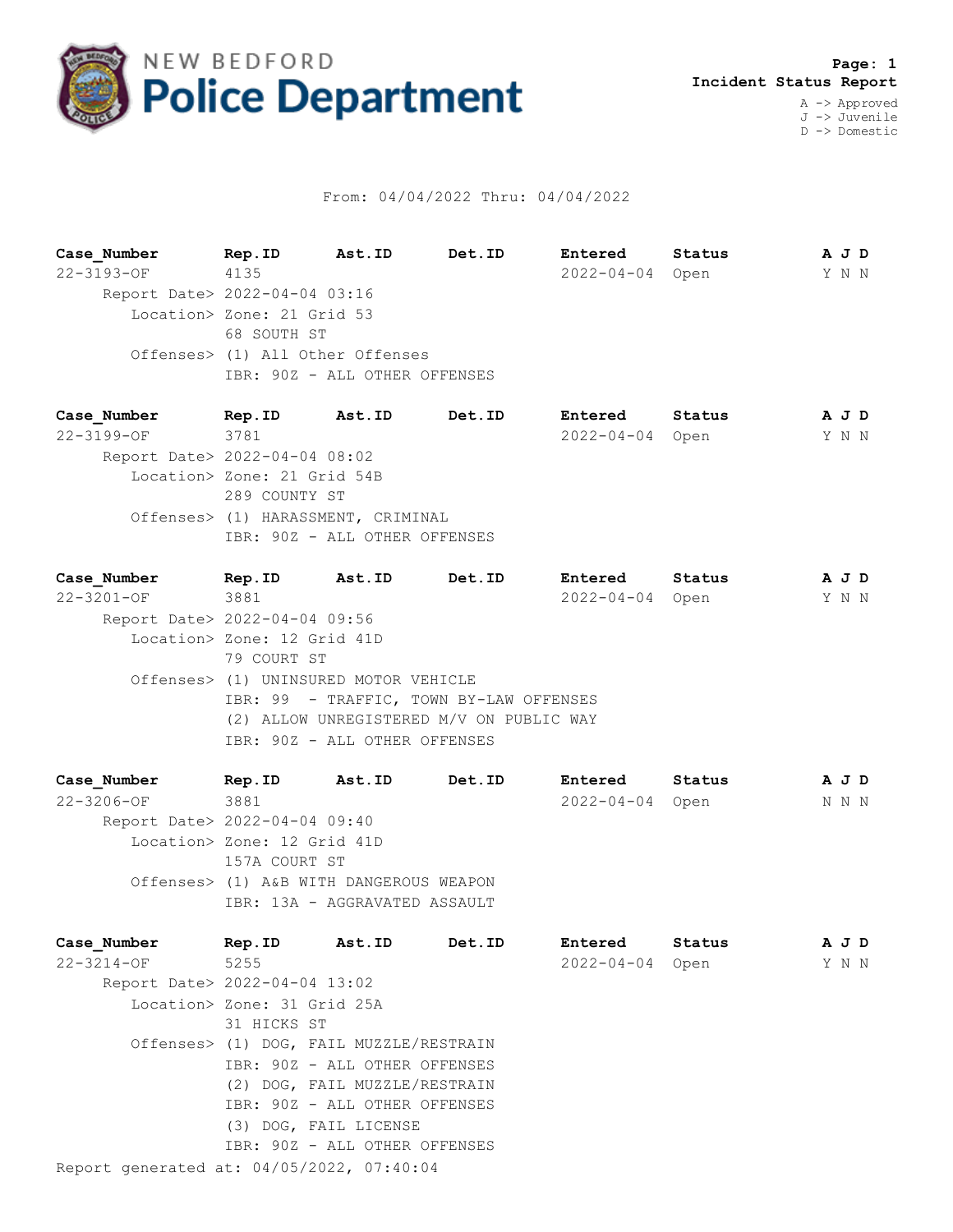

## From: 04/04/2022 Thru: 04/04/2022

**Case\_Number Rep.ID Ast.ID Det.ID Entered Status A J D** 22-3193-OF 4135 2022-04-04 Open Y N N Report Date> 2022-04-04 03:16 Location> Zone: 21 Grid 53 68 SOUTH ST Offenses> (1) All Other Offenses IBR: 90Z - ALL OTHER OFFENSES

**Case\_Number Rep.ID Ast.ID Det.ID Entered Status A J D** 22-3199-OF 3781 2022-04-04 Open Y N N Report Date> 2022-04-04 08:02 Location> Zone: 21 Grid 54B 289 COUNTY ST Offenses> (1) HARASSMENT, CRIMINAL IBR: 90Z - ALL OTHER OFFENSES

**Case\_Number Rep.ID Ast.ID Det.ID Entered Status A J D** 22-3201-OF 3881 2022-04-04 Open Y N N Report Date> 2022-04-04 09:56 Location> Zone: 12 Grid 41D 79 COURT ST Offenses> (1) UNINSURED MOTOR VEHICLE IBR: 99 - TRAFFIC, TOWN BY-LAW OFFENSES (2) ALLOW UNREGISTERED M/V ON PUBLIC WAY IBR: 90Z - ALL OTHER OFFENSES

**Case\_Number Rep.ID Ast.ID Det.ID Entered Status A J D** 22-3206-OF 3881 2022-04-04 Open N N N Report Date> 2022-04-04 09:40 Location> Zone: 12 Grid 41D 157A COURT ST Offenses> (1) A&B WITH DANGEROUS WEAPON IBR: 13A - AGGRAVATED ASSAULT

| Case Number                               | Rep.ID      | Ast.ID                                  | Det.ID | Entered          | Status | A J D |  |
|-------------------------------------------|-------------|-----------------------------------------|--------|------------------|--------|-------|--|
| 22-3214-OF                                | 5255        |                                         |        | $2022 - 04 - 04$ | Open   | Y N N |  |
| Report Date> 2022-04-04 13:02             |             |                                         |        |                  |        |       |  |
| Location> Zone: 31 Grid 25A               |             |                                         |        |                  |        |       |  |
|                                           | 31 HICKS ST |                                         |        |                  |        |       |  |
|                                           |             | Offenses> (1) DOG, FAIL MUZZLE/RESTRAIN |        |                  |        |       |  |
|                                           |             | IBR: 90Z - ALL OTHER OFFENSES           |        |                  |        |       |  |
|                                           |             | (2) DOG, FAIL MUZZLE/RESTRAIN           |        |                  |        |       |  |
|                                           |             | IBR: 90Z - ALL OTHER OFFENSES           |        |                  |        |       |  |
|                                           |             | (3) DOG, FAIL LICENSE                   |        |                  |        |       |  |
|                                           |             | IBR: 90Z - ALL OTHER OFFENSES           |        |                  |        |       |  |
| Report generated at: 04/05/2022, 07:40:04 |             |                                         |        |                  |        |       |  |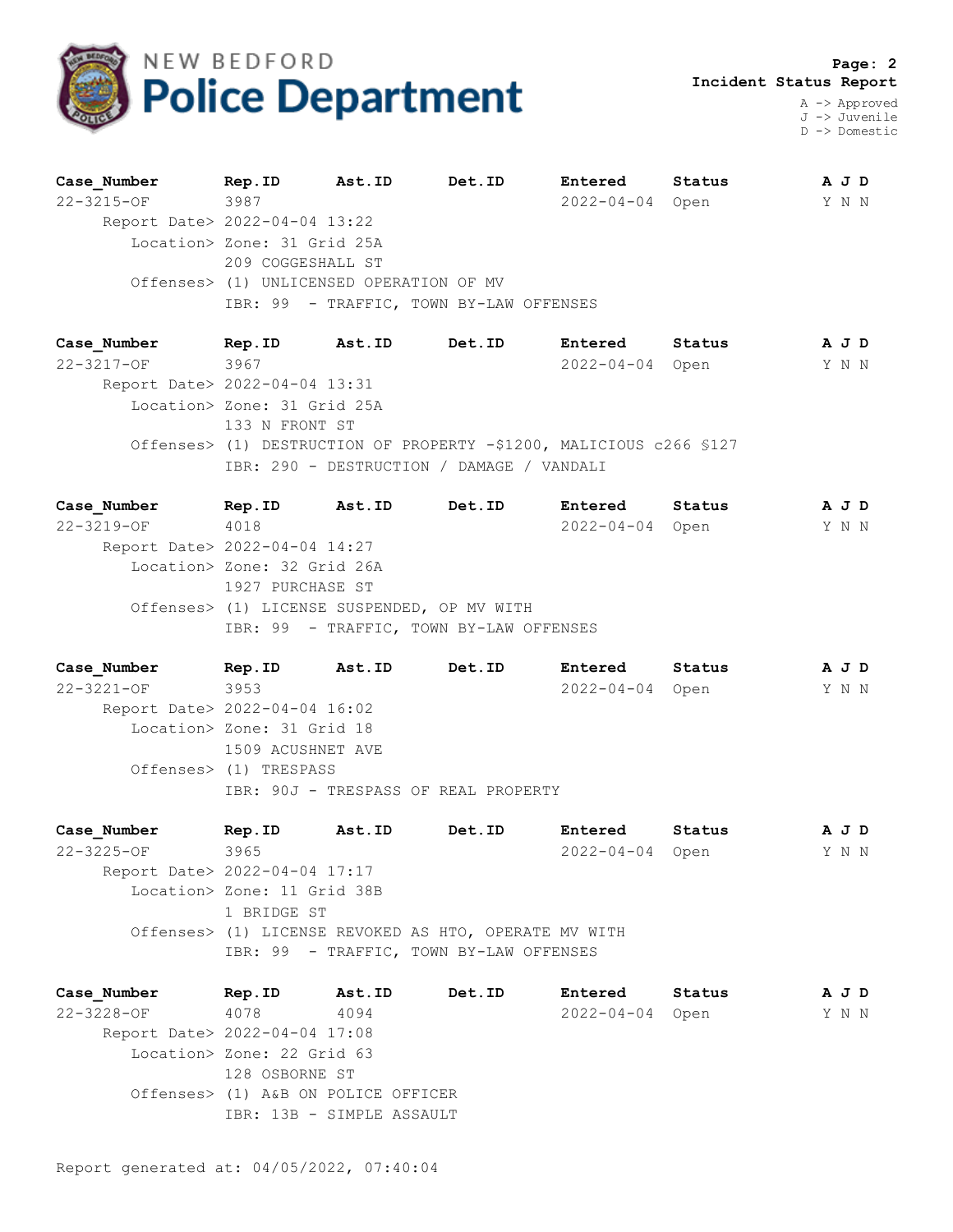

J -> Juvenile D -> Domestic

| Case Number                   | Rep.ID                                   | Ast.ID | Det.ID                                  | Entered          | Status | A J D |
|-------------------------------|------------------------------------------|--------|-----------------------------------------|------------------|--------|-------|
| 22-3215-OF                    | 3987                                     |        |                                         | $2022 - 04 - 04$ | Open   | Y N N |
| Report Date> 2022-04-04 13:22 |                                          |        |                                         |                  |        |       |
|                               | Location> Zone: 31 Grid 25A              |        |                                         |                  |        |       |
|                               | 209 COGGESHALL ST                        |        |                                         |                  |        |       |
|                               | Offenses> (1) UNLICENSED OPERATION OF MV |        |                                         |                  |        |       |
|                               |                                          |        | IBR: 99 - TRAFFIC, TOWN BY-LAW OFFENSES |                  |        |       |
|                               |                                          |        |                                         |                  |        |       |

**Case\_Number Rep.ID Ast.ID Det.ID Entered Status A J D** 22-3217-OF 3967 2022-04-04 Open Y N N Report Date> 2022-04-04 13:31 Location> Zone: 31 Grid 25A 133 N FRONT ST Offenses> (1) DESTRUCTION OF PROPERTY -\$1200, MALICIOUS c266 §127 IBR: 290 - DESTRUCTION / DAMAGE / VANDALI

**Case\_Number Rep.ID Ast.ID Det.ID Entered Status A J D** 22-3219-OF 4018 2022-04-04 Open Y N N Report Date> 2022-04-04 14:27 Location> Zone: 32 Grid 26A 1927 PURCHASE ST Offenses> (1) LICENSE SUSPENDED, OP MV WITH IBR: 99 - TRAFFIC, TOWN BY-LAW OFFENSES

**Case\_Number Rep.ID Ast.ID Det.ID Entered Status A J D** 22-3221-OF 3953 2022-04-04 Open Y N N Report Date> 2022-04-04 16:02 Location> Zone: 31 Grid 18 1509 ACUSHNET AVE Offenses> (1) TRESPASS IBR: 90J - TRESPASS OF REAL PROPERTY

**Case\_Number Rep.ID Ast.ID Det.ID Entered Status A J D** 22-3225-OF 3965 2022-04-04 Open Y N N Report Date> 2022-04-04 17:17 Location> Zone: 11 Grid 38B 1 BRIDGE ST Offenses> (1) LICENSE REVOKED AS HTO, OPERATE MV WITH IBR: 99 - TRAFFIC, TOWN BY-LAW OFFENSES

**Case\_Number Rep.ID Ast.ID Det.ID Entered Status A J D** 22-3228-OF 4078 4094 2022-04-04 Open Y N N Report Date> 2022-04-04 17:08 Location> Zone: 22 Grid 63 128 OSBORNE ST Offenses> (1) A&B ON POLICE OFFICER IBR: 13B - SIMPLE ASSAULT